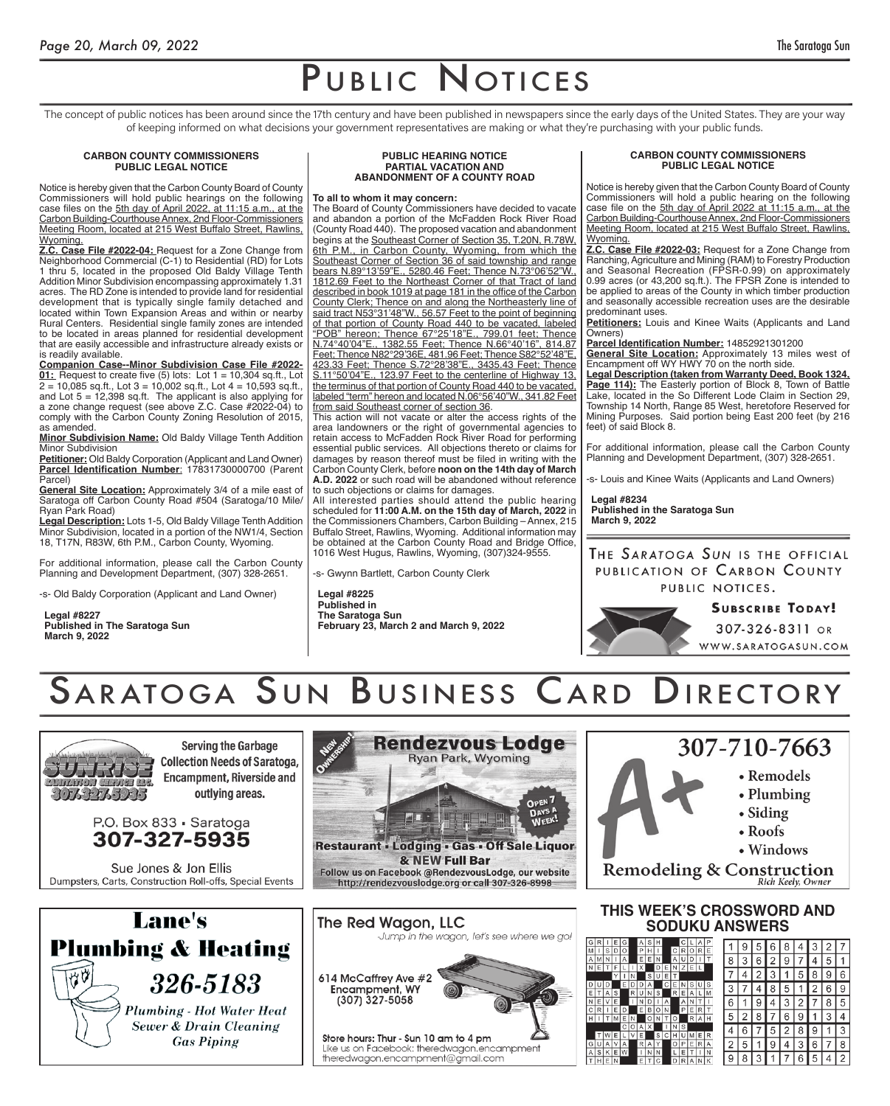The concept of public notices has been around since the 17th century and have been published in newspapers since the early days of the United States. They are your way of keeping informed on what decisions your government representatives are making or what they're purchasing with your public funds.

### **CARBON COUNTY COMMISSIONERS PUBLIC LEGAL NOTICE**

Notice is hereby given that the Carbon County Board of County Commissioners will hold public hearings on the following case files on the 5th day of April 2022, at 11:15 a.m., at the Carbon Building-Courthouse Annex, 2nd Floor-Commissioners Meeting Room, located at 215 West Buffalo Street, Rawlins, Wyoming.

**Z.C. Case File #2022-04:** Request for a Zone Change from Neighborhood Commercial (C-1) to Residential (RD) for Lots 1 thru 5, located in the proposed Old Baldy Village Tenth Addition Minor Subdivision encompassing approximately 1.31 acres. The RD Zone is intended to provide land for residential development that is typically single family detached and located within Town Expansion Areas and within or nearby Rural Centers. Residential single family zones are intended to be located in areas planned for residential development that are easily accessible and infrastructure already exists or is readily available.

**Companion Case--Minor Subdivision Case File #2022- 01:** Request to create five (5) lots: Lot 1 = 10,304 sq.ft., Lot  $2 = 10,085$  sq.ft., Lot  $3 = 10,002$  sq.ft., Lot  $4 = 10,593$  sq.ft., and Lot 5 = 12,398 sq.ft. The applicant is also applying for a zone change request (see above Z.C. Case #2022-04) to comply with the Carbon County Zoning Resolution of 2015, as amended.

**Minor Subdivision Name:** Old Baldy Village Tenth Addition Minor Subdivision

**Petitioner:** Old Baldy Corporation (Applicant and Land Owner) **Parcel Identification Number**: 17831730000700 (Parent Parcel)

**General Site Location:** Approximately 3/4 of a mile east of Saratoga off Carbon County Road #504 (Saratoga/10 Mile/ Ryan Park Road)

**Legal Description:** Lots 1-5, Old Baldy Village Tenth Addition Minor Subdivision, located in a portion of the NW1/4, Section 18, T17N, R83W, 6th P.M., Carbon County, Wyoming.

For additional information, please call the Carbon County Planning and Development Department, (307) 328-2651.

-s- Old Baldy Corporation (Applicant and Land Owner)

**Legal #8227 Published in The Saratoga Sun March 9, 2022**

#### **PUBLIC HEARING NOTICE PARTIAL VACATION AND ABANDONMENT OF A COUNTY ROAD**

#### **To all to whom it may concern:**

The Board of County Commissioners have decided to vacate and abandon a portion of the McFadden Rock River Road (County Road 440). The proposed vacation and abandonment begins at the Southeast Corner of Section 35, T.20N, R.78W, 6th P.M., in Carbon County, Wyoming, from which the Southeast Corner of Section 36 of said township and range bears N.89°13'59"E., 5280.46 Feet; Thence N.73°06'52"W., 1812.69 Feet to the Northeast Corner of that Tract of land described in book 1019 at page 181 in the office of the Carbon County Clerk; Thence on and along the Northeasterly line of said tract N53°31'48"W., 56.57 Feet to the point of beginning of that portion of County Road 440 to be vacated, labeled "POB" hereon; Thence 67°25'18"E., 799.01 feet; Thence N.74°40'04"E., 1382.55 Feet; Thence N.66°40'16", 814.87 Feet; Thence N82°29'36E, 481.96 Feet; Thence S82°52'48"E, 423.33 Feet; Thence S.72°28'38"E., 3435.43 Feet; Thence S.11°50'04"E., 123.97 Feet to the centerline of Highway 13, the terminus of that portion of County Road 440 to be vacated, labeled "term" hereon and located N.06°56'40"W., 341.82 Feet from said Southeast corner of section 36.

This action will not vacate or alter the access rights of the area landowners or the right of governmental agencies to retain access to McFadden Rock River Road for performing essential public services. All objections thereto or claims for damages by reason thereof must be filed in writing with the Carbon County Clerk, before **noon on the 14th day of March A.D. 2022** or such road will be abandoned without reference to such objections or claims for damages.

All interested parties should attend the public hearing scheduled for **11:00 A.M. on the 15th day of March, 2022** in the Commissioners Chambers, Carbon Building – Annex, 215 Buffalo Street, Rawlins, Wyoming. Additional information may be obtained at the Carbon County Road and Bridge Office, 1016 West Hugus, Rawlins, Wyoming, (307)324-9555.

-s- Gwynn Bartlett, Carbon County Clerk

#### **Legal #8225 Published in The Saratoga Sun February 23, March 2 and March 9, 2022**

### **CARBON COUNTY COMMISSIONERS PUBLIC LEGAL NOTICE**

Notice is hereby given that the Carbon County Board of County Commissioners will hold a public hearing on the following case file on the 5th day of April 2022 at 11:15 a.m., at the Carbon Building-Courthouse Annex, 2nd Floor-Commissioners Meeting Room, located at 215 West Buffalo Street, Rawlins, Wyoming.

**Z.C. Case File #2022-03:** Request for a Zone Change from Ranching, Agriculture and Mining (RAM) to Forestry Production and Seasonal Recreation (FPSR-0.99) on approximately 0.99 acres (or 43,200 sq.ft.). The FPSR Zone is intended to be applied to areas of the County in which timber production and seasonally accessible recreation uses are the desirable predominant uses.

**Petitioners:** Louis and Kinee Waits (Applicants and Land Owners)

**Parcel Identification Number:** 14852921301200

**General Site Location:** Approximately 13 miles west of Encampment off WY HWY 70 on the north side.

**Legal Description (taken from Warranty Deed, Book 1324, Page 114):** The Easterly portion of Block 8, Town of Battle Lake, located in the So Different Lode Claim in Section 29, Township 14 North, Range 85 West, heretofore Reserved for Mining Purposes. Said portion being East 200 feet (by 216 feet) of said Block 8.

For additional information, please call the Carbon County Planning and Development Department, (307) 328-2651.

Louis and Kinee Waits (Applicants and Land Owners)

**Legal #8234 Published in the Saratoga Sun March 9, 2022**

THE SARATOGA SUN IS THE OFFICIAL PUBLICATION OF CARBON COUNTY PUBLIC NOTICES.

 $\frac{G}{N}$ 

 $\frac{1}{2}$  o  $\frac{1}{2}$  o  $\frac{1}{2}$ 

 $\frac{G}{A}$ 

**SUBSCRIBE TODAY!** 307-326-8311 OR WWW.SARATOGASUN.COM

SARATOGA SUN BUSINESS CARD DIRECTORY



**Serving the Garbage Collection Needs of Saratoga, Encampment, Riverside and** outlying areas.



Sue Jones & Jon Ellis Dumpsters, Carts, Construction Roll-offs, Special Events





http://rendezvouslodge.org or call 307-326-8998



Like us on Facebook: theredwagon.encampment theredwagon.encampment@gmail.com

# 307-710-7663



 $\sqrt{2}$  $\overline{7}$  $\,8\,$ 5

 $3|2|7$  $4|5|1$ 

 $8|96$ 

 $\boxed{1}$   $\boxed{3}$   $\boxed{4}$ 

 $\overline{2}$ 6

 $\sqrt{9}$  $1\vert 3$ 

6  $7|8$ 

# **THIS WEEK'S CROSSWORD AND SODUKU ANSWERS**

|   |   |   | э |   |   |   |   |   |   |   |   |   |    |   |   |   |   |   |   |
|---|---|---|---|---|---|---|---|---|---|---|---|---|----|---|---|---|---|---|---|
| ı | S |   |   |   | P |   |   |   |   | R |   | R | F  |   |   |   |   |   |   |
| M | N |   | А |   | E | E |   |   |   | U |   |   |    | 8 |   | 6 | 2 |   |   |
| E |   | F |   |   | x |   | D | Ε | Ν | Z | Ε |   |    |   |   |   |   |   |   |
|   |   | Υ |   |   |   | S | U | Ε | т |   |   |   |    |   |   |   |   |   |   |
|   |   |   | Ε |   |   |   |   | С | Ε |   |   |   |    |   |   |   |   | 5 |   |
| T | Α | S |   | R |   |   |   |   | R | Ε | Α |   | М  |   |   |   |   |   |   |
| E | ν | E |   |   | Ν |   |   |   |   | А |   |   |    | 6 |   |   |   |   | 2 |
| R |   | Ē |   |   | E | B | о |   |   | Ρ | E | R |    |   |   |   |   |   |   |
|   |   | M |   |   |   | Ο |   |   |   |   |   |   | ΙH | 5 |   |   |   | 6 | 9 |
|   |   |   | C | О | Α | X |   | ı | Ν | S |   |   |    |   |   |   |   |   | 8 |
|   |   | Ξ |   | V | Ε |   | S | С | н |   |   |   | R  |   |   |   |   |   |   |
| U | A |   | Α |   | R | А | Y |   | O | P | Ε | R | Α  | 2 | 5 |   |   |   | 3 |
| S | Κ | F |   |   |   |   |   |   |   | Ε |   |   | Ν  |   |   |   |   |   |   |
| Н | E |   |   |   | Ε |   |   |   |   |   |   |   | κ  | 9 |   |   |   |   | 6 |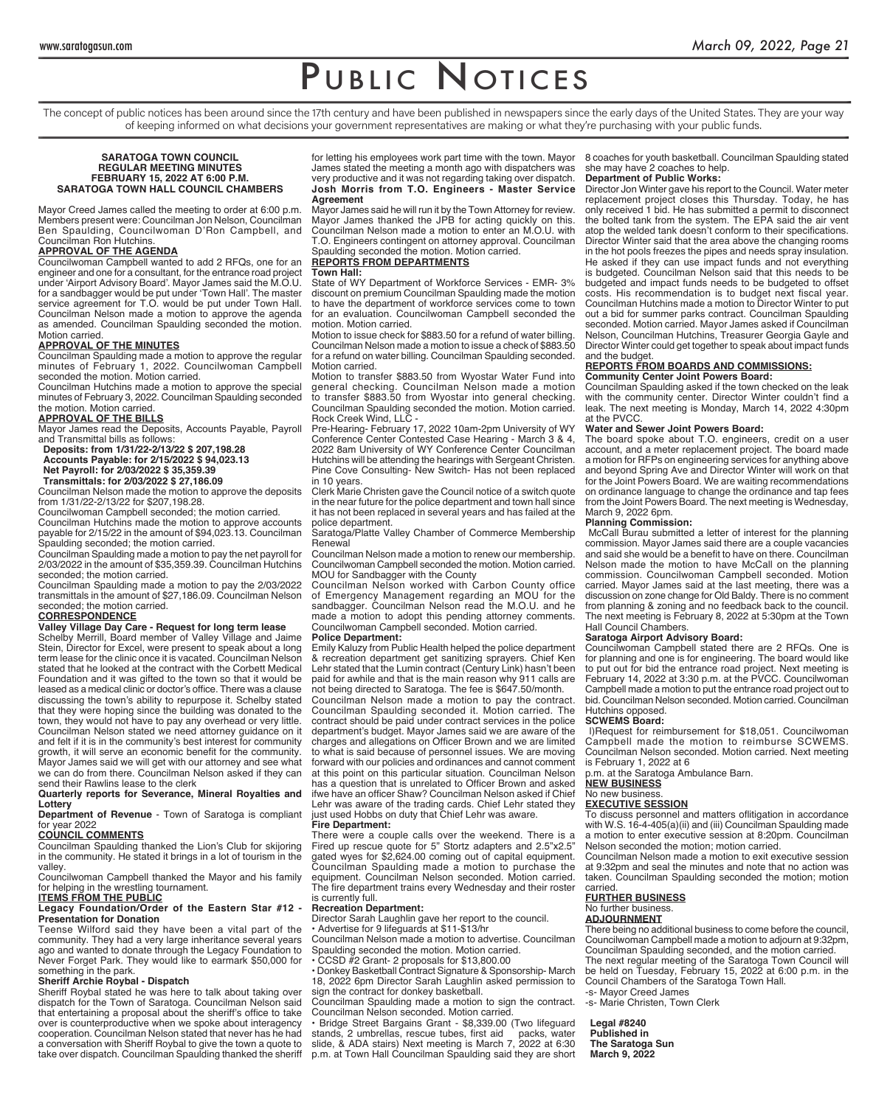The concept of public notices has been around since the 17th century and have been published in newspapers since the early days of the United States. They are your way of keeping informed on what decisions your government representatives are making or what they're purchasing with your public funds.

#### **SARATOGA TOWN COUNCIL REGULAR MEETING MINUTES FEBRUARY 15, 2022 AT 6:00 P.M. SARATOGA TOWN HALL COUNCIL CHAMBERS**

Mayor Creed James called the meeting to order at 6:00 p.m. Members present were: Councilman Jon Nelson, Councilman Ben Spaulding, Councilwoman D'Ron Campbell, and Councilman Ron Hutchins.

#### **APPROVAL OF THE AGENDA**

Councilwoman Campbell wanted to add 2 RFQs, one for an engineer and one for a consultant, for the entrance road project under 'Airport Advisory Board'. Mayor James said the M.O.U. for a sandbagger would be put under 'Town Hall'. The master service agreement for T.O. would be put under Town Hall. Councilman Nelson made a motion to approve the agenda as amended. Councilman Spaulding seconded the motion. Motion carried.

#### **APPROVAL OF THE MINUTES**

Councilman Spaulding made a motion to approve the regular minutes of February 1, 2022. Councilwoman Campbell seconded the motion. Motion carried.

Councilman Hutchins made a motion to approve the special minutes of February 3, 2022. Councilman Spaulding seconded the motion. Motion carried.

**APPROVAL OF THE BILLS** Mayor James read the Deposits, Accounts Payable, Payroll and Transmittal bills as follows:

**Deposits: from 1/31/22-2/13/22 \$ 207,198.28 Accounts Payable: for 2/15/2022 \$ 94,023.13 Net Payroll: for 2/03/2022 \$ 35,359.39**

**Transmittals: for 2/03/2022 \$ 27,186.09**

Councilman Nelson made the motion to approve the deposits from 1/31/22-2/13/22 for \$207,198.28.

Councilwoman Campbell seconded; the motion carried.

Councilman Hutchins made the motion to approve accounts payable for 2/15/22 in the amount of \$94,023.13. Councilman Spaulding seconded; the motion carried.

Councilman Spaulding made a motion to pay the net payroll for 2/03/2022 in the amount of \$35,359.39. Councilman Hutchins seconded; the motion carried.

Councilman Spaulding made a motion to pay the 2/03/2022 transmittals in the amount of \$27,186.09. Councilman Nelson seconded; the motion carried.

### **CORRESPONDENCE**

**Valley Village Day Care - Request for long term lease**

Schelby Merrill, Board member of Valley Village and Jaime Stein, Director for Excel, were present to speak about a long term lease for the clinic once it is vacated. Councilman Nelson stated that he looked at the contract with the Corbett Medical Foundation and it was gifted to the town so that it would be leased as a medical clinic or doctor's office. There was a clause discussing the town's ability to repurpose it. Schelby stated that they were hoping since the building was donated to the town, they would not have to pay any overhead or very little. Councilman Nelson stated we need attorney guidance on it and felt if it is in the community's best interest for community growth, it will serve an economic benefit for the community. Mayor James said we will get with our attorney and see what we can do from there. Councilman Nelson asked if they can send their Rawlins lease to the clerk

#### **Quarterly reports for Severance, Mineral Royalties and Lottery**

**Department of Revenue** - Town of Saratoga is compliant for year 2022

#### **COUNCIL COMMENTS**

Councilman Spaulding thanked the Lion's Club for skijoring in the community. He stated it brings in a lot of tourism in the valley.

Councilwoman Campbell thanked the Mayor and his family for helping in the wrestling tournament.

#### **ITEMS FROM THE PUBLIC**

**Legacy Foundation/Order of the Eastern Star #12 - Presentation for Donation** 

Teense Wilford said they have been a vital part of the community. They had a very large inheritance several years ago and wanted to donate through the Legacy Foundation to Never Forget Park. They would like to earmark \$50,000 for something in the park.

#### **Sheriff Archie Roybal - Dispatch**

Sheriff Roybal stated he was here to talk about taking over dispatch for the Town of Saratoga. Councilman Nelson said that entertaining a proposal about the sheriff's office to take over is counterproductive when we spoke about interagency cooperation. Councilman Nelson stated that never has he had a conversation with Sheriff Roybal to give the town a quote to take over dispatch. Councilman Spaulding thanked the sheriff for letting his employees work part time with the town. Mayor James stated the meeting a month ago with dispatchers was very productive and it was not regarding taking over dispatch. **Josh Morris from T.O. Engineers - Master Service Agreement**

Mayor James said he will run it by the Town Attorney for review. Mayor James thanked the JPB for acting quickly on this. Councilman Nelson made a motion to enter an M.O.U. with T.O. Engineers contingent on attorney approval. Councilman Spaulding seconded the motion. Motion carried.

## **REPORTS FROM DEPARTMENTS**

**Town Hall:**

State of WY Department of Workforce Services - EMR- 3% discount on premium Councilman Spaulding made the motion to have the department of workforce services come to town for an evaluation. Councilwoman Campbell seconded the motion. Motion carried.

Motion to issue check for \$883.50 for a refund of water billing. Councilman Nelson made a motion to issue a check of \$883.50 for a refund on water billing. Councilman Spaulding seconded. Motion carried.

Motion to transfer \$883.50 from Wyostar Water Fund into general checking. Councilman Nelson made a motion to transfer \$883.50 from Wyostar into general checking. Councilman Spaulding seconded the motion. Motion carried. Rock Creek Wind, LLC -

Pre-Hearing- February 17, 2022 10am-2pm University of WY Conference Center Contested Case Hearing - March 3 & 4, 2022 8am University of WY Conference Center Councilman Hutchins will be attending the hearings with Sergeant Christen. Pine Cove Consulting- New Switch- Has not been replaced in 10 years.

Clerk Marie Christen gave the Council notice of a switch quote in the near future for the police department and town hall since it has not been replaced in several years and has failed at the plice department.

Saratoga/Platte Valley Chamber of Commerce Membership Renewal

Councilman Nelson made a motion to renew our membership. Councilwoman Campbell seconded the motion. Motion carried. MOU for Sandbagger with the County

Councilman Nelson worked with Carbon County office of Emergency Management regarding an MOU for the sandbagger. Councilman Nelson read the M.O.U. and he made a motion to adopt this pending attorney comments. Councilwoman Campbell seconded. Motion carried.

#### **Police Department:**

Emily Kaluzy from Public Health helped the police department & recreation department get sanitizing sprayers. Chief Ken Lehr stated that the Lumin contract (Century Link) hasn't been paid for awhile and that is the main reason why 911 calls are not being directed to Saratoga. The fee is \$647.50/month.

Councilman Nelson made a motion to pay the contract. Councilman Spaulding seconded it. Motion carried. The contract should be paid under contract services in the police department's budget. Mayor James said we are aware of the charges and allegations on Officer Brown and we are limited to what is said because of personnel issues. We are moving forward with our policies and ordinances and cannot comment at this point on this particular situation. Councilman Nelson has a question that is unrelated to Officer Brown and asked ifwe have an officer Shaw? Councilman Nelson asked if Chief Lehr was aware of the trading cards. Chief Lehr stated they just used Hobbs on duty that Chief Lehr was aware.

#### **Fire Department:**

There were a couple calls over the weekend. There is a Fired up rescue quote for 5" Stortz adapters and 2.5"x2.5" gated wyes for \$2,624.00 coming out of capital equipment. Councilman Spaulding made a motion to purchase the equipment. Councilman Nelson seconded. Motion carried. The fire department trains every Wednesday and their roster is currently full.

#### **Recreation Department:**

Director Sarah Laughlin gave her report to the council. • Advertise for 9 lifeguards at \$11-\$13/hr

Councilman Nelson made a motion to advertise. Councilman paulding seconded the motion. Motion carried.

• CCSD #2 Grant- 2 proposals for \$13,800.00 • Donkey Basketball Contract Signature & Sponsorship- March 18, 2022 6pm Director Sarah Laughlin asked permission to sign the contract for donkey basketball.

Councilman Spaulding made a motion to sign the contract. Councilman Nelson seconded. Motion carried.

• Bridge Street Bargains Grant - \$8,339.00 (Two lifeguard stands, 2 umbrellas, rescue tubes, first aid packs, water slide, & ADA stairs) Next meeting is March 7, 2022 at 6:30 p.m. at Town Hall Councilman Spaulding said they are short

#### 8 coaches for youth basketball. Councilman Spaulding stated she may have 2 coaches to help. **Department of Public Works:**

Director Jon Winter gave his report to the Council. Water meter replacement project closes this Thursday. Today, he has only received 1 bid. He has submitted a permit to disconnect the bolted tank from the system. The EPA said the air vent atop the welded tank doesn't conform to their specifications. Director Winter said that the area above the changing rooms in the hot pools freezes the pipes and needs spray insulation. He asked if they can use impact funds and not everything is budgeted. Councilman Nelson said that this needs to be budgeted and impact funds needs to be budgeted to offset costs. His recommendation is to budget next fiscal year. Councilman Hutchins made a motion to Director Winter to put out a bid for summer parks contract. Councilman Spaulding seconded. Motion carried. Mayor James asked if Councilman Nelson, Councilman Hutchins, Treasurer Georgia Gayle and Director Winter could get together to speak about impact funds and the budget.

#### **REPORTS FROM BOARDS AND COMMISSIONS: Community Center Joint Powers Board:**

Councilman Spaulding asked if the town checked on the leak with the community center. Director Winter couldn't find a leak. The next meeting is Monday, March 14, 2022 4:30pm at the PVCC.

## **Water and Sewer Joint Powers Board:**

The board spoke about T.O. engineers, credit on a user account, and a meter replacement project. The board made a motion for RFPs on engineering services for anything above and beyond Spring Ave and Director Winter will work on that for the Joint Powers Board. We are waiting recommendations on ordinance language to change the ordinance and tap fees from the Joint Powers Board. The next meeting is Wednesday, March 9, 2022 6pm.

#### **Planning Commission:**

 McCall Burau submitted a letter of interest for the planning commission. Mayor James said there are a couple vacancies and said she would be a benefit to have on there. Councilman Nelson made the motion to have McCall on the planning commission. Councilwoman Campbell seconded. Motion carried. Mayor James said at the last meeting, there was a discussion on zone change for Old Baldy. There is no comment from planning & zoning and no feedback back to the council. The next meeting is February 8, 2022 at 5:30pm at the Town Hall Council Chambers.

#### **Saratoga Airport Advisory Board:**

Councilwoman Campbell stated there are 2 RFQs. One is for planning and one is for engineering. The board would like to put out for bid the entrance road project. Next meeting is February 14, 2022 at 3:30 p.m. at the PVCC. Councilwoman Campbell made a motion to put the entrance road project out to bid. Councilman Nelson seconded. Motion carried. Councilman Hutchins opposed.

#### **SCWEMS Board:**

 l)Request for reimbursement for \$18,051. Councilwoman Campbell made the motion to reimburse SCWEMS. Councilman Nelson seconded. Motion carried. Next meeting is February 1, 2022 at 6

p.m. at the Saratoga Ambulance Barn.

### **NEW BUSINESS**

#### No new business. **EXECUTIVE SESSION**

To discuss personnel and matters oflitigation in accordance with W.S. 16-4-405(a)(ii) and (iii) Councilman Spaulding made a motion to enter executive session at 8:20pm. Councilman Nelson seconded the motion; motion carried.

Councilman Nelson made a motion to exit executive session at 9:32pm and seal the minutes and note that no action was taken. Councilman Spaulding seconded the motion; motion carried.

#### **FURTHER BUSINESS**

#### No further business.

## **ADJOURNMENT**

There being no additional business to come before the council, Councilwoman Campbell made a motion to adjourn at 9:32pm, Councilman Spaulding seconded, and the motion carried. The next regular meeting of the Saratoga Town Council will be held on Tuesday, February 15, 2022 at 6:00 p.m. in the Council Chambers of the Saratoga Town Hall. -s- Mayor Creed James

-s- Marie Christen, Town Clerk

**Legal #8240 Published in The Saratoga Sun March 9, 2022**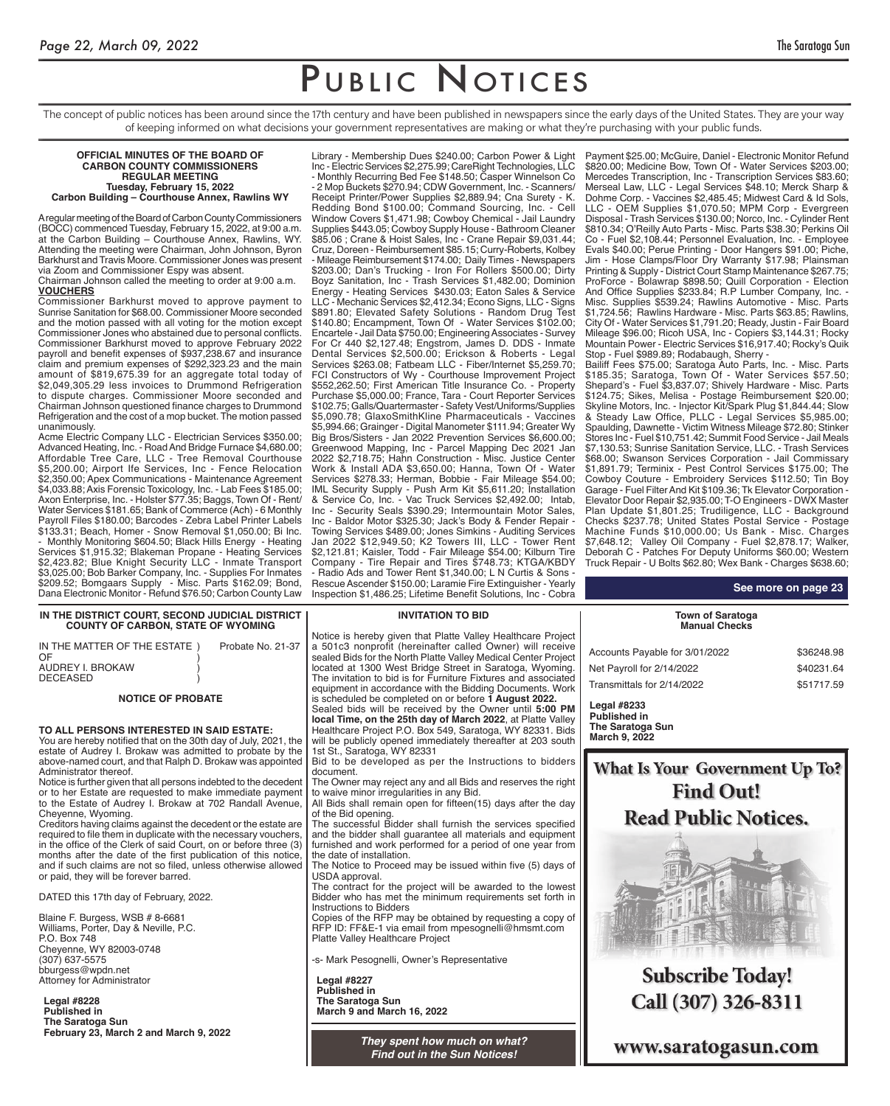The concept of public notices has been around since the 17th century and have been published in newspapers since the early days of the United States. They are your way of keeping informed on what decisions your government representatives are making or what they're purchasing with your public funds.

#### **OFFICIAL MINUTES OF THE BOARD OF CARBON COUNTY COMMISSIONERS REGULAR MEETING Tuesday, February 15, 2022 Carbon Building – Courthouse Annex, Rawlins WY**

A regular meeting of the Board of Carbon County Commissioners (BOCC) commenced Tuesday, February 15, 2022, at 9:00 a.m. at the Carbon Building – Courthouse Annex, Rawlins, WY. Attending the meeting were Chairman, John Johnson, Byron Barkhurst and Travis Moore. Commissioner Jones was present via Zoom and Commissioner Espy was absent.

Chairman Johnson called the meeting to order at 9:00 a.m. **VOUCHERS**

Commissioner Barkhurst moved to approve payment to Sunrise Sanitation for \$68.00. Commissioner Moore seconded and the motion passed with all voting for the motion except Commissioner Jones who abstained due to personal conflicts. Commissioner Barkhurst moved to approve February 2022 payroll and benefit expenses of \$937,238.67 and insurance claim and premium expenses of \$292,323.23 and the main amount of \$819,675.39 for an aggregate total today of \$2,049,305.29 less invoices to Drummond Refrigeration to dispute charges. Commissioner Moore seconded and Chairman Johnson questioned finance charges to Drummond Refrigeration and the cost of a mop bucket. The motion passed unanimously.

Acme Electric Company LLC - Electrician Services \$350.00; Advanced Heating, Inc. - Road And Bridge Furnace \$4,680.00; Affordable Tree Care, LLC - Tree Removal Courthouse \$5,200.00; Airport Ife Services, Inc - Fence Relocation \$2,350.00; Apex Communications - Maintenance Agreement \$4,033.88; Axis Forensic Toxicology, Inc. - Lab Fees \$185.00; Axon Enterprise, Inc. - Holster \$77.35; Baggs, Town Of - Rent/ Water Services \$181.65; Bank of Commerce (Ach) - 6 Monthly Payroll Files \$180.00; Barcodes - Zebra Label Printer Labels \$133.31; Beach, Homer - Snow Removal \$1,050.00; Bi Inc. - Monthly Monitoring \$604.50; Black Hills Energy - Heating Services \$1,915.32; Blakeman Propane - Heating Services \$2,423.82; Blue Knight Security LLC - Inmate Transport \$3,025.00; Bob Barker Company, Inc. - Supplies For Inmates \$209.52; Bomgaars Supply - Misc. Parts \$162.09; Bond, Dana Electronic Monitor - Refund \$76.50; Carbon County Law

Library - Membership Dues \$240.00; Carbon Power & Light Inc - Electric Services \$2,275.99; CareRight Technologies, LLC - Monthly Recurring Bed Fee \$148.50; Casper Winnelson Co - 2 Mop Buckets \$270.94; CDW Government, Inc. - Scanners/ Receipt Printer/Power Supplies \$2,889.94; Cna Surety - K. Redding Bond \$100.00; Command Sourcing, Inc. - Cell Window Covers \$1,471.98; Cowboy Chemical - Jail Laundry Supplies \$443.05; Cowboy Supply House - Bathroom Cleaner \$85.06 ; Crane & Hoist Sales, Inc - Crane Repair \$9,031.44; Cruz, Doreen - Reimbursement \$85.15; Curry-Roberts, Kolbey - Mileage Reimbursement \$174.00; Daily Times - Newspapers \$203.00; Dan's Trucking - Iron For Rollers \$500.00; Dirty Boyz Sanitation, Inc - Trash Services \$1,482.00; Dominion Energy - Heating Services \$430.03; Eaton Sales & Service LLC - Mechanic Services \$2,412.34; Econo Signs, LLC - Signs \$891.80; Elevated Safety Solutions - Random Drug Test \$140.80; Encampment, Town Of - Water Services \$102.00; Encartele - Jail Data \$750.00; Engineering Associates - Survey For Cr 440 \$2,127.48; Engstrom, James D. DDS - Inmate Dental Services \$2,500.00; Erickson & Roberts - Legal Services \$263.08; Fatbeam LLC - Fiber/Internet \$5,259.70; FCI Constructors of Wy - Courthouse Improvement Project \$552,262.50; First American Title Insurance Co. - Property Purchase \$5,000.00; France, Tara - Court Reporter Services \$102.75; Galls/Quartermaster - Safety Vest/Uniforms/Supplies \$5,090.78; GlaxoSmithKline Pharmaceuticals - Vaccines \$5,994.66; Grainger - Digital Manometer \$111.94; Greater Wy Big Bros/Sisters - Jan 2022 Prevention Services \$6,600.00; Greenwood Mapping, Inc - Parcel Mapping Dec 2021 Jan 2022 \$2,718.75; Hahn Construction - Misc. Justice Center Work & Install ADA \$3,650.00; Hanna, Town Of - Water Services \$278.33; Herman, Bobbie - Fair Mileage \$54.00; IML Security Supply - Push Arm Kit \$5,611.20; Installation & Service Co, Inc. - Vac Truck Services \$2,492.00; Intab, Inc - Security Seals \$390.29; Intermountain Motor Sales, Inc - Baldor Motor \$325.30; Jack's Body & Fender Repair - Towing Services \$489.00; Jones Simkins - Auditing Services Jan 2022 \$12,949.50; K2 Towers III, LLC - Tower Rent \$2,121.81; Kaisler, Todd - Fair Mileage \$54.00; Kilburn Tire Company - Tire Repair and Tires \$748.73; KTGA/KBDY Radio Ads and Tower Rent \$1,340.00; L N Curtis & Sons Rescue Ascender \$150.00; Laramie Fire Extinguisher - Yearly Inspection \$1,486.25; Lifetime Benefit Solutions, Inc - Cobra

#### Payment \$25.00; McGuire, Daniel - Electronic Monitor Refund \$820.00; Medicine Bow, Town Of - Water Services \$203.00; Mercedes Transcription, Inc - Transcription Services \$83.60; Merseal Law, LLC - Legal Services \$48.10; Merck Sharp & Dohme Corp. - Vaccines \$2,485.45; Midwest Card & Id Sols, LLC - OEM Supplies \$1,070.50; MPM Corp - Evergreen Disposal - Trash Services \$130.00; Norco, Inc. - Cylinder Rent \$810.34; O'Reilly Auto Parts - Misc. Parts \$38.30; Perkins Oil Co - Fuel \$2,108.44; Personnel Evaluation, Inc. - Employee Evals \$40.00; Perue Printing - Door Hangers \$91.00; Piche, Jim - Hose Clamps/Floor Dry Warranty \$17.98; Plainsman Printing & Supply - District Court Stamp Maintenance \$267.75; ProForce - Bolawrap \$898.50; Quill Corporation - Election And Office Supplies \$233.84; R.P Lumber Company, Inc. - Misc. Supplies \$539.24; Rawlins Automotive - Misc. Parts \$1,724.56; Rawlins Hardware - Misc. Parts \$63.85; Rawlins, City Of - Water Services \$1,791.20; Ready, Justin - Fair Board Mileage \$96.00; Ricoh USA, Inc - Copiers \$3,144.31; Rocky Mountain Power - Electric Services \$16,917.40; Rocky's Quik Stop - Fuel \$989.89; Rodabaugh, Sherry -

Bailiff Fees \$75.00; Saratoga Auto Parts, Inc. - Misc. Parts \$185.35; Saratoga, Town Of - Water Services \$57.50; Shepard's - Fuel \$3,837.07; Shively Hardware - Misc. Parts \$124.75; Sikes, Melisa - Postage Reimbursement \$20.00; Skyline Motors, Inc. - Injector Kit/Spark Plug \$1,844.44; Slow & Steady Law Office, PLLC - Legal Services \$5,985.00; Spaulding, Dawnette - Victim Witness Mileage \$72.80; Stinker Stores Inc - Fuel \$10,751.42; Summit Food Service - Jail Meals \$7,130.53; Sunrise Sanitation Service, LLC. - Trash Services \$68.00; Swanson Services Corporation - Jail Commissary \$1,891.79; Terminix - Pest Control Services \$175.00; The Cowboy Couture - Embroidery Services \$112.50; Tin Boy Garage - Fuel Filter And Kit \$109.36; Tk Elevator Corporation - Elevator Door Repair \$2,935.00; T-O Engineers - DWX Master Plan Update \$1,801.25; Trudiligence, LLC - Background Checks \$237.78; United States Postal Service - Postage Machine Funds \$10,000.00; Us Bank - Misc. Charges \$7,648.12; Valley Oil Company - Fuel \$2,878.17; Walker, Deborah C - Patches For Deputy Uniforms \$60.00; Western Truck Repair - U Bolts \$62.80; Wex Bank - Charges \$638.60;

#### **IN THE DISTRICT COURT, SECOND JUDICIAL DISTRICT COUNTY OF CARBON, STATE OF WYOMING**

| IN THE MATTER OF THE ESTATE )<br>OF<br>AUDREY I. BROKAW<br><b>DECEASED</b> | Probate No. 21-37 |
|----------------------------------------------------------------------------|-------------------|
|                                                                            |                   |
|                                                                            |                   |

### **NOTICE OF PROBATE**

**TO ALL PERSONS INTERESTED IN SAID ESTATE:** You are hereby notified that on the 30th day of July, 2021, the estate of Audrey I. Brokaw was admitted to probate by the above-named court, and that Ralph D. Brokaw was appointed Administrator thereof.

Notice is further given that all persons indebted to the decedent or to her Estate are requested to make immediate payment to the Estate of Audrey I. Brokaw at 702 Randall Avenue, Cheyenne, Wyoming.

Creditors having claims against the decedent or the estate are required to file them in duplicate with the necessary vouchers, in the office of the Clerk of said Court, on or before three (3) months after the date of the first publication of this notice, and if such claims are not so filed, unless otherwise allowed or paid, they will be forever barred.

DATED this 17th day of February, 2022.

Blaine F. Burgess, WSB # 8-6681 Williams, Porter, Day & Neville, P.C. P.O. Box 748 Cheyenne, WY 82003-0748 (307) 637-5575 bburgess@wpdn.net Attorney for Administrator

**Legal #8228 Published in The Saratoga Sun**

#### **INVITATION TO BID**

Notice is hereby given that Platte Valley Healthcare Project a 501c3 nonprofit (hereinafter called Owner) will receive sealed Bids for the North Platte Valley Medical Center Project located at 1300 West Bridge Street in Saratoga, Wyoming. The invitation to bid is for Furniture Fixtures and associated equipment in accordance with the Bidding Documents. Work is scheduled be completed on or before **1 August 2022.** Sealed bids will be received by the Owner until **5:00 PM** 

**local Time, on the 25th day of March 2022**, at Platte Valley Healthcare Project P.O. Box 549, Saratoga, WY 82331. Bids will be publicly opened immediately thereafter at 203 south 1st St., Saratoga, WY 82331

Bid to be developed as per the Instructions to bidders document.

The Owner may reject any and all Bids and reserves the right to waive minor irregularities in any Bid.

All Bids shall remain open for fifteen(15) days after the day of the Bid opening.

The successful Bidder shall furnish the services specified and the bidder shall guarantee all materials and equipment furnished and work performed for a period of one year from the date of installation.

The Notice to Proceed may be issued within five (5) days of USDA approval.

The contract for the project will be awarded to the lowest Bidder who has met the minimum requirements set forth in Instructions to Bidders

Copies of the RFP may be obtained by requesting a copy of RFP ID: FF&E-1 via email from mpesognelli@hmsmt.com Platte Valley Healthcare Project

-s- Mark Pesognelli, Owner's Representative

**Legal #8227 Published in The Saratoga Sun March 9 and March 16, 2022**

> **They spent how much on what?** *Find out in the Sun Notices!*

|  | See more on pa |  |
|--|----------------|--|
|  |                |  |

**See more on page 23**

#### **Town of Saratoga Manual Checks**

Accounts Payable for 3/01/2022 \$36248.98 Net Payroll for 2/14/2022 \$40231.64 Transmittals for 2/14/2022 \$51717.59 **Legal #8233**

**Published in The Saratoga Sun March 9, 2022**

**What Is Your Government Up To? Find Out! Read Public Notices.** 



**Subscribe Today!** Call (307) 326-8311

www.saratogasun.com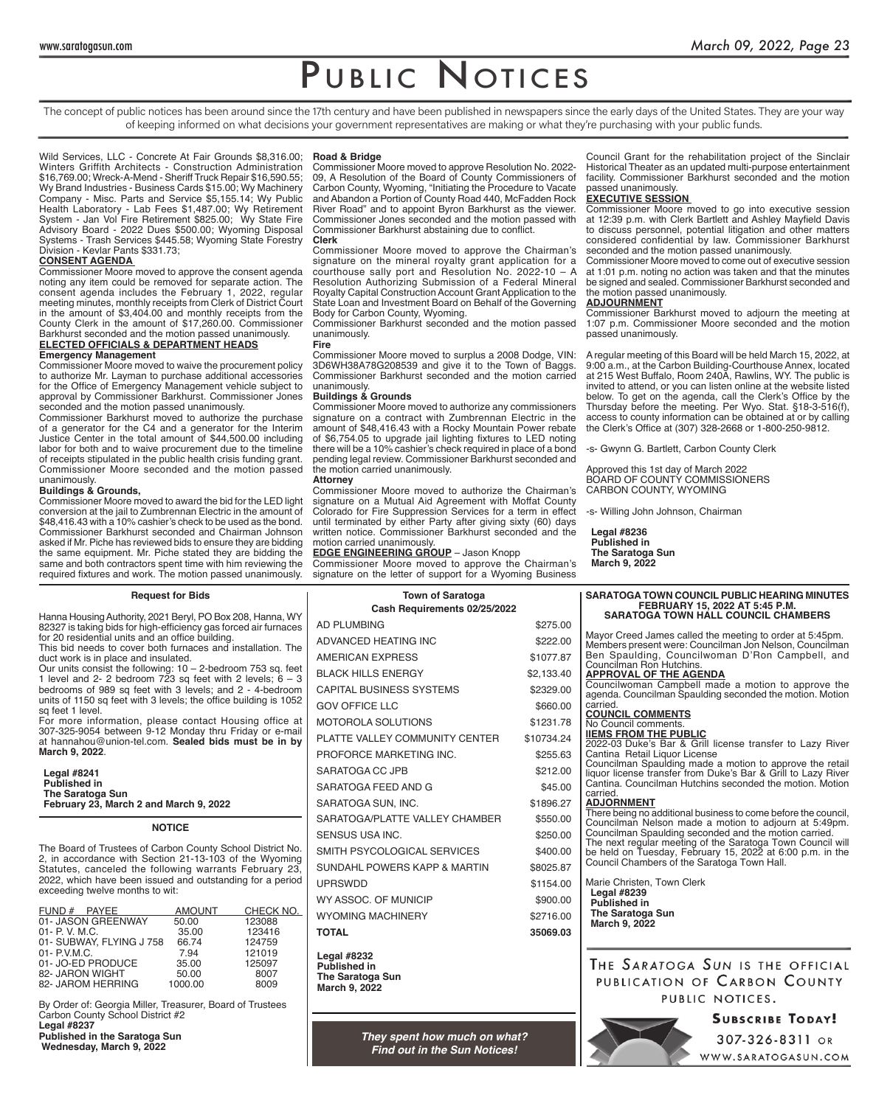The concept of public notices has been around since the 17th century and have been published in newspapers since the early days of the United States. They are your way of keeping informed on what decisions your government representatives are making or what they're purchasing with your public funds.

Wild Services, LLC - Concrete At Fair Grounds \$8,316.00; Winters Griffith Architects - Construction Administration \$16,769.00; Wreck-A-Mend - Sheriff Truck Repair \$16,590.55; Wy Brand Industries - Business Cards \$15.00; Wy Machinery Company - Misc. Parts and Service \$5,155.14; Wy Public Health Laboratory - Lab Fees \$1,487.00; Wy Retirement System - Jan Vol Fire Retirement \$825.00; Wy State Fire Advisory Board - 2022 Dues \$500.00; Wyoming Disposal Systems - Trash Services \$445.58; Wyoming State Forestry Division - Kevlar Pants \$331.73;

#### **CONSENT AGENDA**

Commissioner Moore moved to approve the consent agenda noting any item could be removed for separate action. The consent agenda includes the February 1, 2022, regular meeting minutes, monthly receipts from Clerk of District Court in the amount of \$3,404.00 and monthly receipts from the County Clerk in the amount of \$17,260.00. Commissioner Barkhurst seconded and the motion passed unanimously. **ELECTED OFFICIALS & DEPARTMENT HEADS**

## **Emergency Management**

Commissioner Moore moved to waive the procurement policy to authorize Mr. Layman to purchase additional accessories for the Office of Emergency Management vehicle subject to approval by Commissioner Barkhurst. Commissioner Jones seconded and the motion passed unanimously.

Commissioner Barkhurst moved to authorize the purchase of a generator for the C4 and a generator for the Interim Justice Center in the total amount of \$44,500.00 including labor for both and to waive procurement due to the timeline of receipts stipulated in the public health crisis funding grant. Commissioner Moore seconded and the motion passed unanimously.

#### **Buildings & Grounds,**

Commissioner Moore moved to award the bid for the LED light conversion at the jail to Zumbrennan Electric in the amount of \$48,416.43 with a 10% cashier's check to be used as the bond. Commissioner Barkhurst seconded and Chairman Johnson asked if Mr. Piche has reviewed bids to ensure they are bidding the same equipment. Mr. Piche stated they are bidding the same and both contractors spent time with him reviewing the required fixtures and work. The motion passed unanimously.

#### **Road & Bridge**

Commissioner Moore moved to approve Resolution No. 2022- 09, A Resolution of the Board of County Commissioners of Carbon County, Wyoming, "Initiating the Procedure to Vacate and Abandon a Portion of County Road 440, McFadden Rock River Road" and to appoint Byron Barkhurst as the viewer. Commissioner Jones seconded and the motion passed with Commissioner Barkhurst abstaining due to conflict. **Clerk**

Commissioner Moore moved to approve the Chairman's signature on the mineral royalty grant application for a courthouse sally port and Resolution No. 2022-10 – A Resolution Authorizing Submission of a Federal Mineral Royalty Capital Construction Account Grant Application to the State Loan and Investment Board on Behalf of the Governing Body for Carbon County, Wyoming.

Commissioner Barkhurst seconded and the motion passed unanimously.

#### **Fire**

Commissioner Moore moved to surplus a 2008 Dodge, VIN: 3D6WH38A78G208539 and give it to the Town of Baggs. Commissioner Barkhurst seconded and the motion carried unanimously.

#### **Buildings & Grounds**

Commissioner Moore moved to authorize any commissioners signature on a contract with Zumbrennan Electric in the amount of \$48,416.43 with a Rocky Mountain Power rebate of \$6,754.05 to upgrade jail lighting fixtures to LED noting there will be a 10% cashier's check required in place of a bond pending legal review. Commissioner Barkhurst seconded and the motion carried unanimously. **Attorney**

Commissioner Moore moved to authorize the Chairman's signature on a Mutual Aid Agreement with Moffat County Colorado for Fire Suppression Services for a term in effect until terminated by either Party after giving sixty (60) days written notice. Commissioner Barkhurst seconded and the motion carried unanimously.

#### **EDGE ENGINEERING GROUP** - Jason Knopp

Commissioner Moore moved to approve the Chairman's signature on the letter of support for a Wyoming Business

| Council Grant for the rehabilitation project of the Sinclair |
|--------------------------------------------------------------|
| Historical Theater as an updated multi-purpose entertainment |
| facility. Commissioner Barkhurst seconded and the motion     |
| passed unanimously.                                          |

#### **EXECUTIVE SESSION**

Commissioner Moore moved to go into executive session at 12:39 p.m. with Clerk Bartlett and Ashley Mayfield Davis to discuss personnel, potential litigation and other matters considered confidential by law. Commissioner Barkhurst seconded and the motion passed unanimously.

Commissioner Moore moved to come out of executive session at 1:01 p.m. noting no action was taken and that the minutes be signed and sealed. Commissioner Barkhurst seconded and the motion passed unanimously. **ADJOURNMENT**

#### Commissioner Barkhurst moved to adjourn the meeting at 1:07 p.m. Commissioner Moore seconded and the motion passed unanimously.

A regular meeting of this Board will be held March 15, 2022, at 9:00 a.m., at the Carbon Building-Courthouse Annex, located at 215 West Buffalo, Room 240A, Rawlins, WY. The public is invited to attend, or you can listen online at the website listed below. To get on the agenda, call the Clerk's Office by the Thursday before the meeting. Per Wyo. Stat. §18-3-516(f), access to county information can be obtained at or by calling the Clerk's Office at (307) 328-2668 or 1-800-250-9812.

-s- Gwynn G. Bartlett, Carbon County Clerk

Approved this 1st day of March 2022 BOARD OF COUNTY COMMISSIONERS CARBON COUNTY, WYOMING

-s- Willing John Johnson, Chairman

**Legal #8236 Published in The Saratoga Sun March 9, 2022**

#### **Town of Saratoga Cash Requirements 02/25/2022** AD PLUMBING \$275.00 ADVANCED HEATING INC<br>
\$222.00 AMERICAN EXPRESS \$1077.87 BLACK HILLS ENERGY \$2,133.40 CAPITAL BUSINESS SYSTEMS \$2329.00 GOV OFFICE LLC \$660.00 MOTOROLA SOLUTIONS \$1231.78 PLATTE VALLEY COMMUNITY CENTER \$10734.24 PROFORCE MARKETING INC. \$255.63 SARATOGA CC JPB \$212.00 SARATOGA FEED AND G  $$45.00$ SARATOGA SUN, INC. \$1896.27 SARATOGA/PLATTE VALLEY CHAMBER \$550.00 SENSUS USA INC.  $$250.00$ SMITH PSYCOLOGICAL SERVICES \$400.00 SUNDAHL POWERS KAPP & MARTIN \$8025.87 UPRSWDD \$1154.00 WY ASSOC. OF MUNICIP
<sub>\$900.00</sub> WYOMING MACHINERY \$2716.00 **TOTAL 35069.03 Legal #8232 Published in The Saratoga Sun FEBRUARY 15, 2022 AT 5:45 P.M.** Mayor Creed James called the meeting to order at 5:45pm. Members present were: Councilman Jon Nelson, Councilman Ben Spaulding, Councilwoman D'Ron Campbell, and Councilman Ron Hutchins. **APPROVAL OF THE AGENDA** Councilwoman Campbell made a motion to approve the agenda. Councilman Spaulding seconded the motion. Motion carried. **COUNCIL COMMENTS** No Council comments. **lIEMS FROM THE PUBLIC** 2022-03 Duke's Bar & Grill license transfer to Lazy River Cantina Retail Liquor License Councilman Spaulding made a motion to approve the retail liquor license transfer from Duke's Bar & Grill to Lazy River Cantina. Councilman Hutchins seconded the motion. Motion carried. **ADJORNMENT** There being no additional business to come before the council, Councilman Nelson made a motion to adjourn at 5:49pm. Councilman Spaulding seconded and the motion carried. The next regular meeting of the Saratoga Town Council will be held on Tuesday, February 15, 2022 at 6:00 p.m. in the Council Chambers of the Saratoga Town Hall. Marie Christen, Town Clerk **Legal #8239 Published in The Saratoga Sun March 9, 2022 Request for Bids** Hanna Housing Authority, 2021 Beryl, PO Box 208, Hanna, WY 82327 is taking bids for high-efficiency gas forced air furnaces for 20 residential units and an office building. This bid needs to cover both furnaces and installation. The duct work is in place and insulated. Our units consist the following: 10 – 2-bedroom 753 sq. feet 1 level and 2- 2 bedroom 723 sq feet with 2 levels;  $6 - 3$ bedrooms of 989 sq feet with 3 levels; and 2 - 4-bedroom units of 1150 sq feet with 3 levels; the office building is 1052 sq feet 1 level. For more information, please contact Housing office at 307-325-9054 between 9-12 Monday thru Friday or e-mail at hannahou@union-tel.com. **Sealed bids must be in by March 9, 2022**. **Legal #8241 Published in The Saratoga Sun February 23, March 2 and March 9, 2022 NOTICE** The Board of Trustees of Carbon County School District No. 2, in accordance with Section 21-13-103 of the Wyoming Statutes, canceled the following warrants February 23, 2022, which have been issued and outstanding for a period exceeding twelve months to wit: FUND # PAYEE AMOUNT CHECK NO.<br>01-JASON GREENWAY 50.00 123088 01- JASON GREENWAY 50.00 123088<br>01- P. V. M.C. 35.00 123416 01- P. V. M.C. 35.00 123416<br>01- SUBWAY. FLYING J 758 66.74 124759 01- SUBWAY, FLYING J 758 66.74 124759<br>01- P.V.M.C. 794 121019 01- P.V.M.C. 7.94 121019 01- JO-ED PRODUCE 35.00 125097 82- JARON WIGHT 50.00 8007<br>82- JAROM HERRING 1000.00 8009 82- JAROM HERRING

By Order of: Georgia Miller, Treasurer, Board of Trustees Carbon County School District #2 **Legal #8237**

**Published in the Saratoga Sun Wednesday, March 9, 2022**

**March 9, 2022**

*They spent how much on what? Find out in the Sun Notices!*

# **SARATOGA TOWN COUNCIL PUBLIC HEARING MINUTES SARATOGA TOWN HALL COUNCIL CHAMBERS**

# THE SARATOGA SUN IS THE OFFICIAL PUBLICATION OF CARBON COUNTY PUBLIC NOTICES.